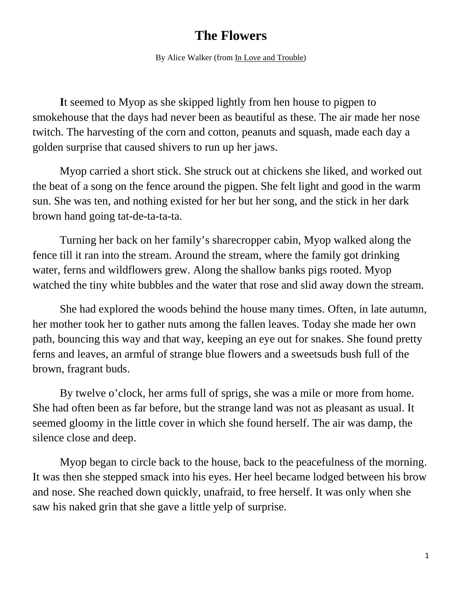## **The Flowers**

By Alice Walker (from In Love and Trouble)

**I**t seemed to Myop as she skipped lightly from hen house to pigpen to smokehouse that the days had never been as beautiful as these. The air made her nose twitch. The harvesting of the corn and cotton, peanuts and squash, made each day a golden surprise that caused shivers to run up her jaws.

Myop carried a short stick. She struck out at chickens she liked, and worked out the beat of a song on the fence around the pigpen. She felt light and good in the warm sun. She was ten, and nothing existed for her but her song, and the stick in her dark brown hand going tat-de-ta-ta-ta.

Turning her back on her family's sharecropper cabin, Myop walked along the fence till it ran into the stream. Around the stream, where the family got drinking water, ferns and wildflowers grew. Along the shallow banks pigs rooted. Myop watched the tiny white bubbles and the water that rose and slid away down the stream.

She had explored the woods behind the house many times. Often, in late autumn, her mother took her to gather nuts among the fallen leaves. Today she made her own path, bouncing this way and that way, keeping an eye out for snakes. She found pretty ferns and leaves, an armful of strange blue flowers and a sweetsuds bush full of the brown, fragrant buds.

By twelve o'clock, her arms full of sprigs, she was a mile or more from home. She had often been as far before, but the strange land was not as pleasant as usual. It seemed gloomy in the little cover in which she found herself. The air was damp, the silence close and deep.

Myop began to circle back to the house, back to the peacefulness of the morning. It was then she stepped smack into his eyes. Her heel became lodged between his brow and nose. She reached down quickly, unafraid, to free herself. It was only when she saw his naked grin that she gave a little yelp of surprise.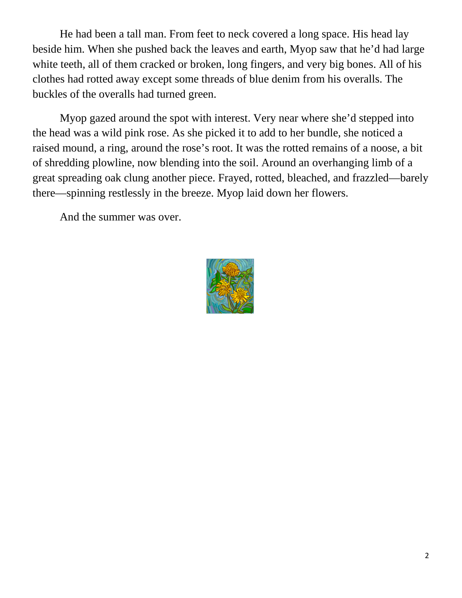He had been a tall man. From feet to neck covered a long space. His head lay beside him. When she pushed back the leaves and earth, Myop saw that he'd had large white teeth, all of them cracked or broken, long fingers, and very big bones. All of his clothes had rotted away except some threads of blue denim from his overalls. The buckles of the overalls had turned green.

Myop gazed around the spot with interest. Very near where she'd stepped into the head was a wild pink rose. As she picked it to add to her bundle, she noticed a raised mound, a ring, around the rose's root. It was the rotted remains of a noose, a bit of shredding plowline, now blending into the soil. Around an overhanging limb of a great spreading oak clung another piece. Frayed, rotted, bleached, and frazzled—barely there—spinning restlessly in the breeze. Myop laid down her flowers.

And the summer was over.